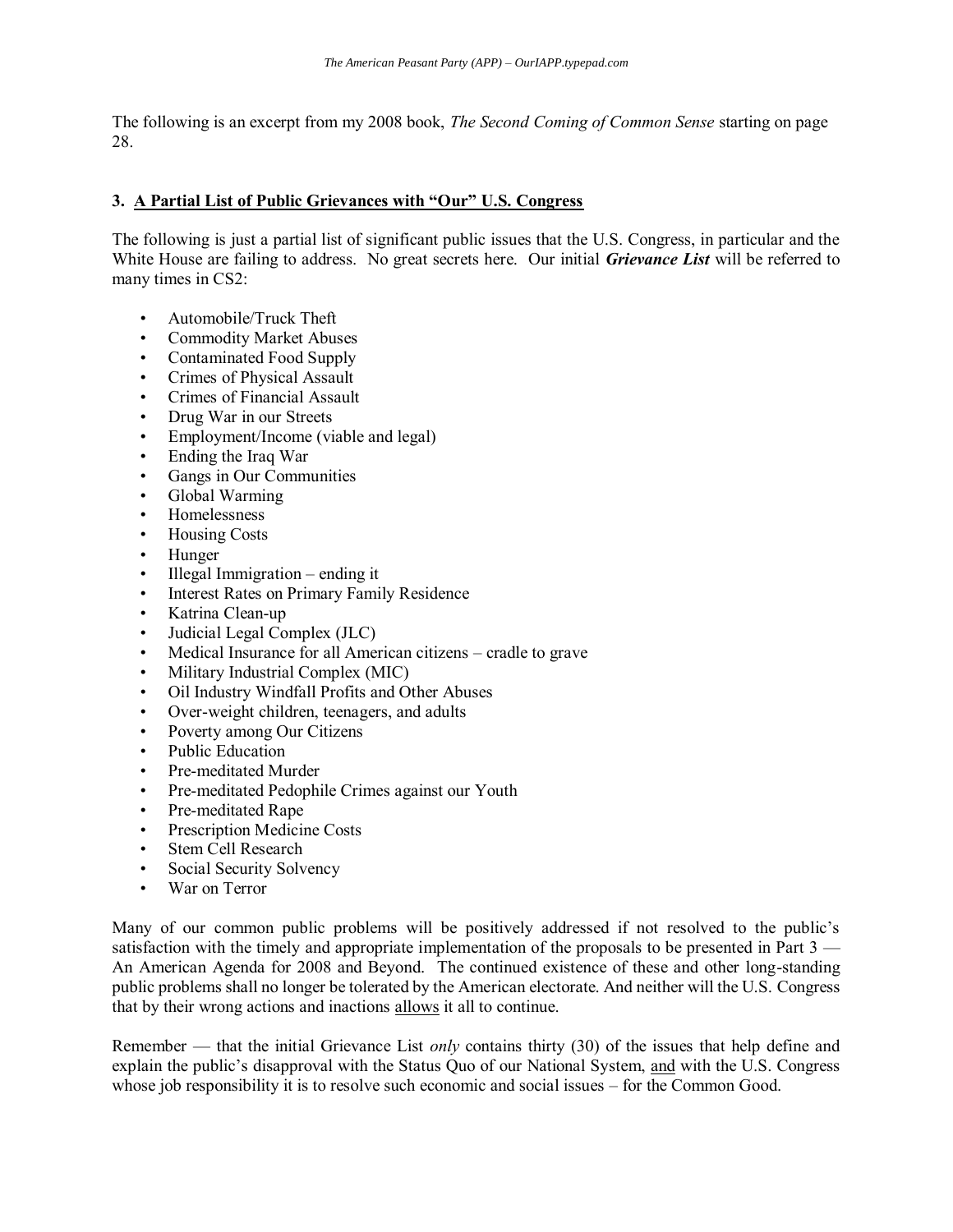The following is an excerpt from my 2008 book, *The Second Coming of Common Sense* starting on page 28.

## **3. A Partial List of Public Grievances with "Our" U.S. Congress**

The following is just a partial list of significant public issues that the U.S. Congress, in particular and the White House are failing to address. No great secrets here. Our initial *Grievance List* will be referred to many times in CS2:

- Automobile/Truck Theft
- Commodity Market Abuses
- Contaminated Food Supply
- Crimes of Physical Assault
- Crimes of Financial Assault
- Drug War in our Streets
- Employment/Income (viable and legal)
- Ending the Iraq War
- Gangs in Our Communities
- Global Warming
- Homelessness
- Housing Costs
- Hunger
- Illegal Immigration ending it
- Interest Rates on Primary Family Residence
- Katrina Clean-up
- Judicial Legal Complex (JLC)
- Medical Insurance for all American citizens cradle to grave
- Military Industrial Complex (MIC)
- Oil Industry Windfall Profits and Other Abuses
- Over-weight children, teenagers, and adults
- Poverty among Our Citizens
- Public Education
- Pre-meditated Murder
- Pre-meditated Pedophile Crimes against our Youth
- Pre-meditated Rape
- Prescription Medicine Costs
- Stem Cell Research
- Social Security Solvency
- War on Terror

Many of our common public problems will be positively addressed if not resolved to the public's satisfaction with the timely and appropriate implementation of the proposals to be presented in Part 3 — An American Agenda for 2008 and Beyond. The continued existence of these and other long-standing public problems shall no longer be tolerated by the American electorate. And neither will the U.S. Congress that by their wrong actions and inactions allows it all to continue.

Remember — that the initial Grievance List *only* contains thirty (30) of the issues that help define and explain the public's disapproval with the Status Quo of our National System, and with the U.S. Congress whose job responsibility it is to resolve such economic and social issues – for the Common Good.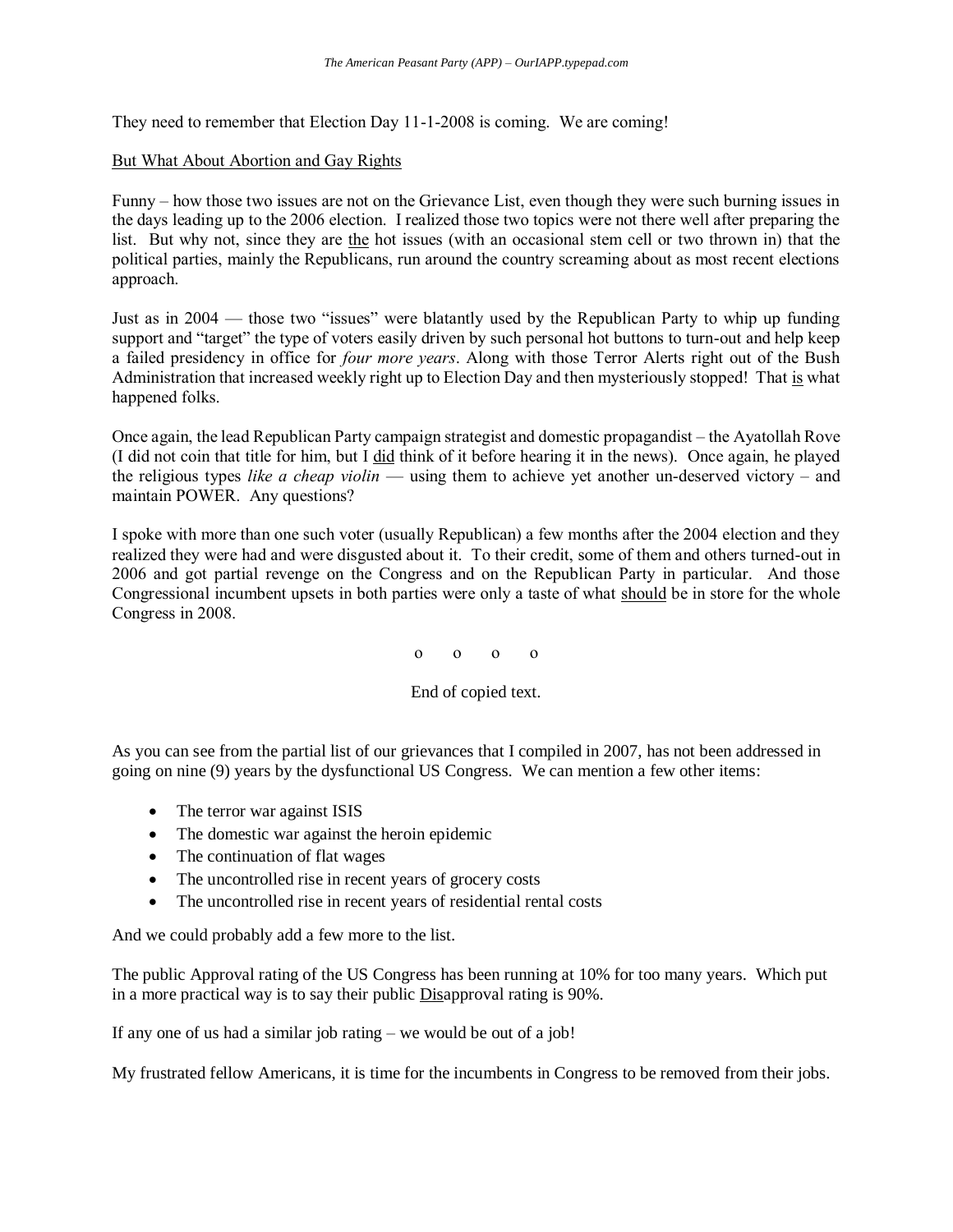They need to remember that Election Day 11-1-2008 is coming. We are coming!

## But What About Abortion and Gay Rights

Funny – how those two issues are not on the Grievance List, even though they were such burning issues in the days leading up to the 2006 election. I realized those two topics were not there well after preparing the list. But why not, since they are the hot issues (with an occasional stem cell or two thrown in) that the political parties, mainly the Republicans, run around the country screaming about as most recent elections approach.

Just as in 2004 — those two "issues" were blatantly used by the Republican Party to whip up funding support and "target" the type of voters easily driven by such personal hot buttons to turn-out and help keep a failed presidency in office for *four more years*. Along with those Terror Alerts right out of the Bush Administration that increased weekly right up to Election Day and then mysteriously stopped! That is what happened folks.

Once again, the lead Republican Party campaign strategist and domestic propagandist – the Ayatollah Rove (I did not coin that title for him, but I did think of it before hearing it in the news). Once again, he played the religious types *like a cheap violin* — using them to achieve yet another un-deserved victory – and maintain POWER. Any questions?

I spoke with more than one such voter (usually Republican) a few months after the 2004 election and they realized they were had and were disgusted about it. To their credit, some of them and others turned-out in 2006 and got partial revenge on the Congress and on the Republican Party in particular. And those Congressional incumbent upsets in both parties were only a taste of what should be in store for the whole Congress in 2008.

o o o o

End of copied text.

As you can see from the partial list of our grievances that I compiled in 2007, has not been addressed in going on nine (9) years by the dysfunctional US Congress. We can mention a few other items:

- The terror war against ISIS
- The domestic war against the heroin epidemic
- The continuation of flat wages
- The uncontrolled rise in recent years of grocery costs
- The uncontrolled rise in recent years of residential rental costs

And we could probably add a few more to the list.

The public Approval rating of the US Congress has been running at 10% for too many years. Which put in a more practical way is to say their public Disapproval rating is 90%.

If any one of us had a similar job rating – we would be out of a job!

My frustrated fellow Americans, it is time for the incumbents in Congress to be removed from their jobs.